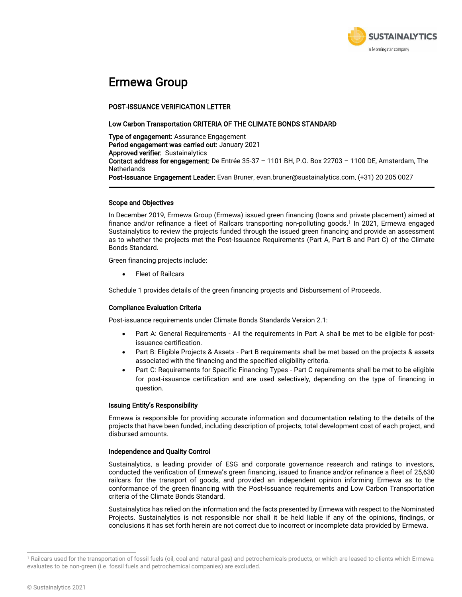

### Ermewa Group

#### POST-ISSUANCE VERIFICATION LETTER

#### Low Carbon Transportation CRITERIA OF THE CLIMATE BONDS STANDARD

Type of engagement: Assurance Engagement Period engagement was carried out: January 2021 Approved verifier: Sustainalytics Contact address for engagement: De Entrée 35-37 – 1101 BH, P.O. Box 22703 – 1100 DE, Amsterdam, The **Netherlands** Post-Issuance Engagement Leader: Evan Bruner, evan.bruner@sustainalytics.com, (+31) 20 205 0027

#### Scope and Objectives

In December 2019, Ermewa Group (Ermewa) issued green financing (loans and private placement) aimed at finance and/or refinance a fleet of Railcars transporting non-polluting goods.<sup>1</sup> In 2021, Ermewa engaged Sustainalytics to review the projects funded through the issued green financing and provide an assessment as to whether the projects met the Post-Issuance Requirements (Part A, Part B and Part C) of the Climate Bonds Standard.

Green financing projects include:

• Fleet of Railcars

Schedule 1 provides details of the green financing projects and Disbursement of Proceeds.

#### Compliance Evaluation Criteria

Post-issuance requirements under Climate Bonds Standards Version 2.1:

- Part A: General Requirements All the requirements in Part A shall be met to be eligible for postissuance certification.
- Part B: Eligible Projects & Assets Part B requirements shall be met based on the projects & assets associated with the financing and the specified eligibility criteria.
- Part C: Requirements for Specific Financing Types Part C requirements shall be met to be eligible for post-issuance certification and are used selectively, depending on the type of financing in question.

#### Issuing Entity's Responsibility

Ermewa is responsible for providing accurate information and documentation relating to the details of the projects that have been funded, including description of projects, total development cost of each project, and disbursed amounts.

#### Independence and Quality Control

Sustainalytics, a leading provider of ESG and corporate governance research and ratings to investors, conducted the verification of Ermewa's green financing, issued to finance and/or refinance a fleet of 25,630 railcars for the transport of goods, and provided an independent opinion informing Ermewa as to the conformance of the green financing with the Post-Issuance requirements and Low Carbon Transportation criteria of the Climate Bonds Standard.

Sustainalytics has relied on the information and the facts presented by Ermewa with respect to the Nominated Projects. Sustainalytics is not responsible nor shall it be held liable if any of the opinions, findings, or conclusions it has set forth herein are not correct due to incorrect or incomplete data provided by Ermewa.

<sup>&</sup>lt;sup>1</sup> Railcars used for the transportation of fossil fuels (oil, coal and natural gas) and petrochemicals products, or which are leased to clients which Ermewa evaluates to be non-green (i.e. fossil fuels and petrochemical companies) are excluded.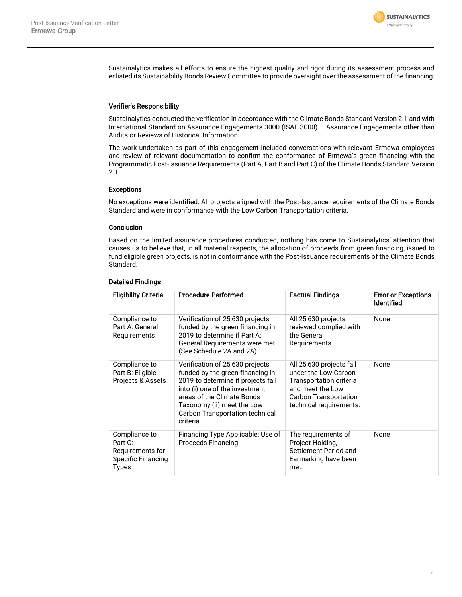

Sustainalytics makes all efforts to ensure the highest quality and rigor during its assessment process and enlisted its Sustainability Bonds Review Committee to provide oversight over the assessment of the financing.

#### Verifier's Responsibility

Sustainalytics conducted the verification in accordance with the Climate Bonds Standard Version 2.1 and with International Standard on Assurance Engagements 3000 (ISAE 3000) – Assurance Engagements other than Audits or Reviews of Historical Information.

The work undertaken as part of this engagement included conversations with relevant Ermewa employees and review of relevant documentation to confirm the conformance of Ermewa's green financing with the Programmatic Post-Issuance Requirements (Part A, Part B and Part C) of the Climate Bonds Standard Version 2.1.

#### Exceptions

No exceptions were identified. All projects aligned with the Post-Issuance requirements of the Climate Bonds Standard and were in conformance with the Low Carbon Transportation criteria.

#### Conclusion

Based on the limited assurance procedures conducted, nothing has come to Sustainalytics' attention that causes us to believe that, in all material respects, the allocation of proceeds from green financing, issued to fund eligible green projects, is not in conformance with the Post-Issuance requirements of the Climate Bonds Standard.

| <b>Eligibility Criteria</b>                                                        | <b>Procedure Performed</b>                                                                                                                                                                                                                              | <b>Factual Findings</b>                                                                                                                             | <b>Error or Exceptions</b><br><b>Identified</b> |
|------------------------------------------------------------------------------------|---------------------------------------------------------------------------------------------------------------------------------------------------------------------------------------------------------------------------------------------------------|-----------------------------------------------------------------------------------------------------------------------------------------------------|-------------------------------------------------|
| Compliance to<br>Part A: General<br>Requirements                                   | Verification of 25,630 projects<br>funded by the green financing in<br>2019 to determine if Part A:<br>General Requirements were met<br>(See Schedule 2A and 2A).                                                                                       | All 25,630 projects<br>reviewed complied with<br>the General<br>Requirements.                                                                       | None                                            |
| Compliance to<br>Part B: Eligible<br>Projects & Assets                             | Verification of 25,630 projects<br>funded by the green financing in<br>2019 to determine if projects fall<br>into (i) one of the investment<br>areas of the Climate Bonds<br>Taxonomy (ii) meet the Low<br>Carbon Transportation technical<br>criteria. | All 25,630 projects fall<br>under the Low Carbon<br>Transportation criteria<br>and meet the Low<br>Carbon Transportation<br>technical requirements. | None                                            |
| Compliance to<br>Part C:<br>Requirements for<br><b>Specific Financing</b><br>Types | Financing Type Applicable: Use of<br>Proceeds Financing.                                                                                                                                                                                                | The requirements of<br>Project Holding,<br>Settlement Period and<br>Earmarking have been<br>met.                                                    | None                                            |

#### Detailed Findings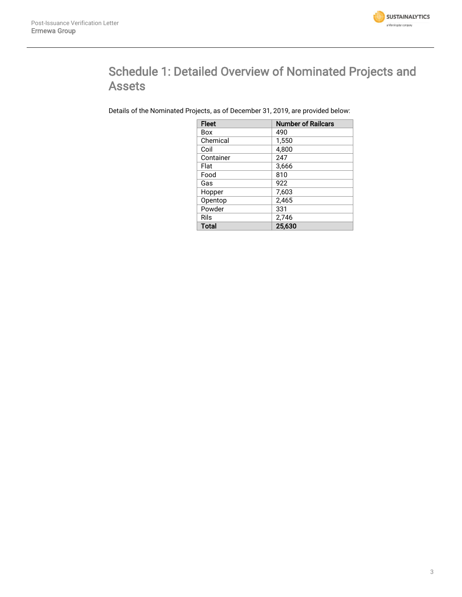

# Schedule 1: Detailed Overview of Nominated Projects and Assets

Details of the Nominated Projects, as of December 31, 2019, are provided below:

| <b>Fleet</b> | <b>Number of Railcars</b> |
|--------------|---------------------------|
| Box          | 490                       |
| Chemical     | 1,550                     |
| Coil         | 4,800                     |
| Container    | 247                       |
| Flat         | 3,666                     |
| Food         | 810                       |
| Gas          | 922                       |
| Hopper       | 7,603                     |
| Opentop      | 2,465                     |
| Powder       | 331                       |
| Rils         | 2,746                     |
| <b>Total</b> | 25,630                    |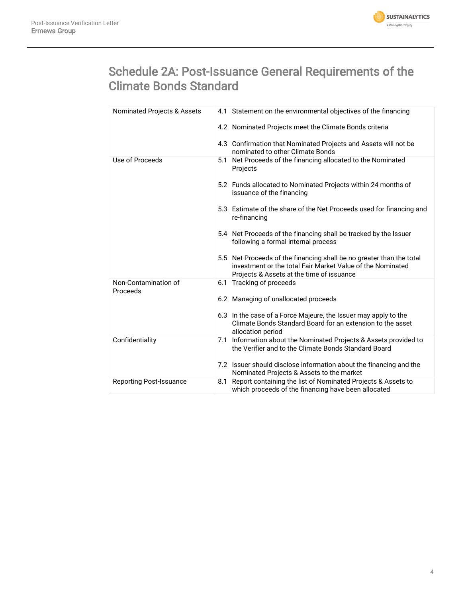

# Schedule 2A: Post-Issuance General Requirements of the Climate Bonds Standard

| Nominated Projects & Assets      | 4.1 Statement on the environmental objectives of the financing                                                                                                                  |  |
|----------------------------------|---------------------------------------------------------------------------------------------------------------------------------------------------------------------------------|--|
|                                  | 4.2 Nominated Projects meet the Climate Bonds criteria                                                                                                                          |  |
|                                  | 4.3 Confirmation that Nominated Projects and Assets will not be<br>nominated to other Climate Bonds                                                                             |  |
| Use of Proceeds                  | 5.1 Net Proceeds of the financing allocated to the Nominated<br>Projects                                                                                                        |  |
|                                  | 5.2 Funds allocated to Nominated Projects within 24 months of<br>issuance of the financing                                                                                      |  |
|                                  | 5.3 Estimate of the share of the Net Proceeds used for financing and<br>re-financing                                                                                            |  |
|                                  | 5.4 Net Proceeds of the financing shall be tracked by the Issuer<br>following a formal internal process                                                                         |  |
|                                  | 5.5 Net Proceeds of the financing shall be no greater than the total<br>investment or the total Fair Market Value of the Nominated<br>Projects & Assets at the time of issuance |  |
| Non-Contamination of<br>Proceeds | 6.1 Tracking of proceeds                                                                                                                                                        |  |
|                                  | 6.2 Managing of unallocated proceeds                                                                                                                                            |  |
|                                  | 6.3 In the case of a Force Majeure, the Issuer may apply to the<br>Climate Bonds Standard Board for an extension to the asset<br>allocation period                              |  |
| Confidentiality                  | 7.1 Information about the Nominated Projects & Assets provided to<br>the Verifier and to the Climate Bonds Standard Board                                                       |  |
|                                  | 7.2 Issuer should disclose information about the financing and the<br>Nominated Projects & Assets to the market                                                                 |  |
| <b>Reporting Post-Issuance</b>   | Report containing the list of Nominated Projects & Assets to<br>8.1<br>which proceeds of the financing have been allocated                                                      |  |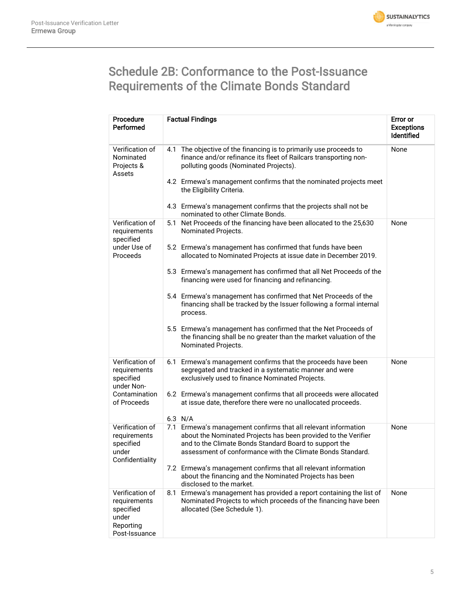

# Schedule 2B: Conformance to the Post-Issuance Requirements of the Climate Bonds Standard

| Procedure<br>Performed                                                              | <b>Factual Findings</b>                                                                                                                                                                                                                                  | <b>Error</b> or<br><b>Exceptions</b><br><b>Identified</b> |
|-------------------------------------------------------------------------------------|----------------------------------------------------------------------------------------------------------------------------------------------------------------------------------------------------------------------------------------------------------|-----------------------------------------------------------|
| Verification of<br>Nominated<br>Projects &<br>Assets                                | The objective of the financing is to primarily use proceeds to<br>4.1<br>finance and/or refinance its fleet of Railcars transporting non-<br>polluting goods (Nominated Projects).                                                                       | None                                                      |
|                                                                                     | 4.2 Ermewa's management confirms that the nominated projects meet<br>the Eligibility Criteria.                                                                                                                                                           |                                                           |
|                                                                                     | 4.3 Ermewa's management confirms that the projects shall not be<br>nominated to other Climate Bonds.                                                                                                                                                     |                                                           |
| Verification of<br>requirements<br>specified                                        | 5.1 Net Proceeds of the financing have been allocated to the 25,630<br>Nominated Projects.                                                                                                                                                               | None                                                      |
| under Use of<br>Proceeds                                                            | 5.2 Ermewa's management has confirmed that funds have been<br>allocated to Nominated Projects at issue date in December 2019.                                                                                                                            |                                                           |
|                                                                                     | 5.3 Ermewa's management has confirmed that all Net Proceeds of the<br>financing were used for financing and refinancing.                                                                                                                                 |                                                           |
|                                                                                     | 5.4 Ermewa's management has confirmed that Net Proceeds of the<br>financing shall be tracked by the Issuer following a formal internal<br>process.                                                                                                       |                                                           |
|                                                                                     | 5.5 Ermewa's management has confirmed that the Net Proceeds of<br>the financing shall be no greater than the market valuation of the<br>Nominated Projects.                                                                                              |                                                           |
| Verification of<br>requirements<br>specified<br>under Non-                          | Ermewa's management confirms that the proceeds have been<br>6.1<br>segregated and tracked in a systematic manner and were<br>exclusively used to finance Nominated Projects.                                                                             | None                                                      |
| Contamination<br>of Proceeds                                                        | 6.2 Ermewa's management confirms that all proceeds were allocated<br>at issue date, therefore there were no unallocated proceeds.                                                                                                                        |                                                           |
|                                                                                     | $6.3$ N/A                                                                                                                                                                                                                                                |                                                           |
| Verification of<br>requirements<br>specified<br>under<br>Confidentiality            | 7.1 Ermewa's management confirms that all relevant information<br>about the Nominated Projects has been provided to the Verifier<br>and to the Climate Bonds Standard Board to support the<br>assessment of conformance with the Climate Bonds Standard. | None                                                      |
|                                                                                     | 7.2 Ermewa's management confirms that all relevant information<br>about the financing and the Nominated Projects has been<br>disclosed to the market.                                                                                                    |                                                           |
| Verification of<br>requirements<br>specified<br>under<br>Reporting<br>Post-Issuance | Ermewa's management has provided a report containing the list of<br>8.1<br>Nominated Projects to which proceeds of the financing have been<br>allocated (See Schedule 1).                                                                                | None                                                      |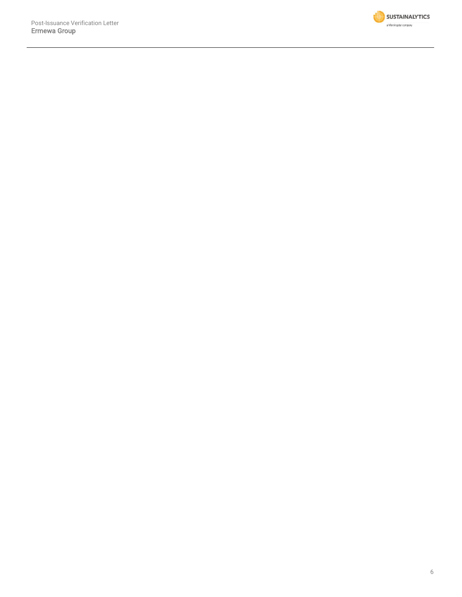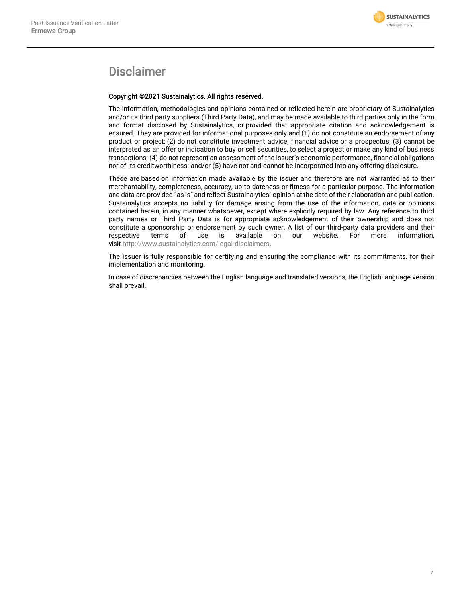

### Disclaimer

#### Copyright ©2021 Sustainalytics. All rights reserved.

The information, methodologies and opinions contained or reflected herein are proprietary of Sustainalytics and/or its third party suppliers (Third Party Data), and may be made available to third parties only in the form and format disclosed by Sustainalytics, or provided that appropriate citation and acknowledgement is ensured. They are provided for informational purposes only and (1) do not constitute an endorsement of any product or project; (2) do not constitute investment advice, financial advice or a prospectus; (3) cannot be interpreted as an offer or indication to buy or sell securities, to select a project or make any kind of business transactions; (4) do not represent an assessment of the issuer's economic performance, financial obligations nor of its creditworthiness; and/or (5) have not and cannot be incorporated into any offering disclosure.

These are based on information made available by the issuer and therefore are not warranted as to their merchantability, completeness, accuracy, up-to-dateness or fitness for a particular purpose. The information and data are provided "as is" and reflect Sustainalytics` opinion at the date of their elaboration and publication. Sustainalytics accepts no liability for damage arising from the use of the information, data or opinions contained herein, in any manner whatsoever, except where explicitly required by law. Any reference to third party names or Third Party Data is for appropriate acknowledgement of their ownership and does not constitute a sponsorship or endorsement by such owner. A list of our third-party data providers and their<br>respective terms of use is available on our website. For more information. respective terms of use is available on our website. For more information, visit [http://www.sustainalytics.com/legal-disclaimers.](http://www.sustainalytics.com/legal-disclaimers)

The issuer is fully responsible for certifying and ensuring the compliance with its commitments, for their implementation and monitoring.

In case of discrepancies between the English language and translated versions, the English language version shall prevail.